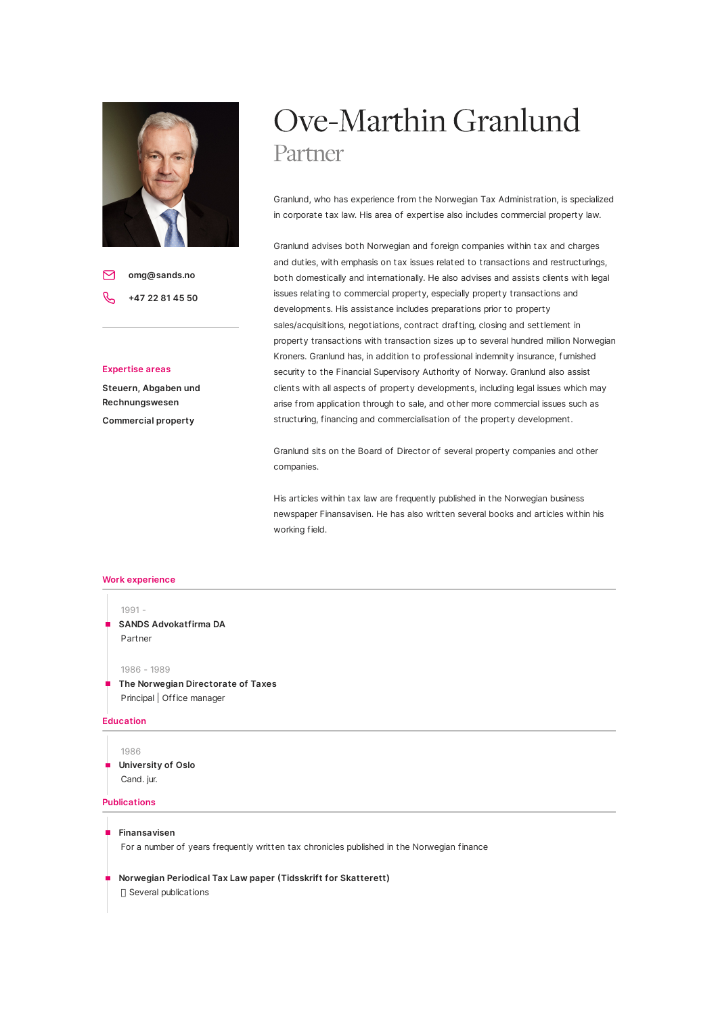

**omg@sands.no** 罓 **47 22 81 45 50**

## **Expertise areas**

**Steuern, Abgaben und Rechnungswesen Commercial property**

# Ove-Marthin Granlund Partner

Granlund, who has experience from the Norwegian Tax Administration, is specialized in corporate tax law. His area of expertise also includes commercial property law.

Granlund advises both Norwegian and foreign companies within tax and charges and duties, with emphasis on tax issues related to transactions and restructurings, both domestically and internationally. He also advises and assists clients with legal issues relating to commercial property, especially property transactions and developments. His assistance includes preparations prior to property sales/acquisitions, negotiations, contract drafting, closing and settlement in property transactions with transaction sizes up to several hundred million Norwegian Kroners. Granlund has, in addition to professional indemnity insurance, furnished security to the Financial Supervisory Authority of Norway. Granlund also assist clients with all aspects of property developments, including legal issues which may arise from application through to sale, and other more commercial issues such as structuring, financing and commercialisation of the property development.

Granlund sits on the Board of Director of several property companies and other companies.

His articles within tax law are frequently published in the Norwegian business newspaper Finansavisen. He has also written several books and articles within his working field.

### **Work experience**



Principal | Office manager

## **Education**

1986 **University of Oslo** Cand. jur.

# **Publications**

### **Finansavisen**

For a number of years frequently written tax chronicles published in the Norwegian finance

**Norwegian Periodical Tax Law paper Tidsskrift for Skatterett)**

 $\Box$  Several publications